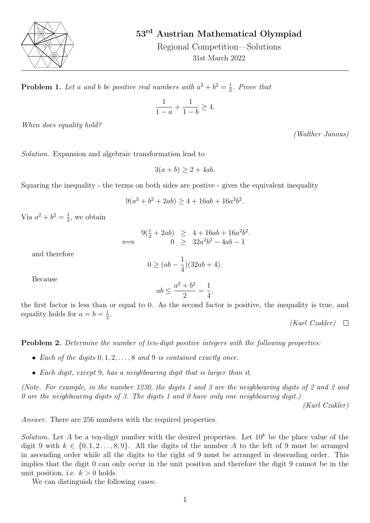

## 53rd Austrian Mathematical Olympiad

Regional Competition—Solutions 31st March 2022

**Problem 1.** Let a and b be positive real numbers with  $a^2 + b^2 = \frac{1}{2}$  $rac{1}{2}$ . Prove that

$$
\frac{1}{1-a} + \frac{1}{1-b} \ge 4.
$$

When does equality hold?

Solution. Expansion and algebraic transformation lead to

 $3(a + b) > 2 + 4ab$ .

Squaring the inequality - the terms on both sides are postive - gives the equivalent inequality

$$
9(a2 + b2 + 2ab) \ge 4 + 16ab + 16a2b2.
$$

Via  $a^2 + b^2 = \frac{1}{2}$  $\frac{1}{2}$ , we obtain

$$
\implies \begin{array}{rcl} 9(\frac{1}{2} + 2ab) & \geq & 4 + 16ab + 16a^2b^2. \\ & & 0 & \geq & 32a^2b^2 - 4ab - 1 \end{array}
$$

and therefore

$$
0 \ge (ab - \frac{1}{4})(32ab + 4).
$$

Because

$$
ab \le \frac{a^2 + b^2}{2} = \frac{1}{4},
$$

the first factor is less than or equal to 0. As the second factor is positive, the inequality is true, and equality holds for  $a = b = \frac{1}{2}$  $\frac{1}{2}$ .

 $(Karl Czakler) \quad \Box$ 

**Problem 2.** Determine the number of ten-digit positive integers with the following properties:

- Each of the digits  $0, 1, 2, \ldots, 8$  and 9 is contained exactly once.
- Each digit, except 9, has a neighbouring digit that is larger than it.

(Note. For example, in the number 1230, the digits 1 and 3 are the neighbouring digits of 2 and 2 and 0 are the neighbouring digits of 3. The digits 1 and 0 have only one neighbouring digit.)

(Karl Czakler)

Answer. There are 256 numbers with the required properties.

Solution. Let A be a ten-digit number with the desired properties. Let  $10^k$  be the place value of the digit 9 with  $k \in \{0, 1, 2, \ldots, 8, 9\}$ . All the digits of the number A to the left of 9 must be arranged in ascending order while all the digits to the right of 9 must be arranged in descending order. This implies that the digit 0 can only occur in the unit position and therefore the digit 9 cannot be in the unit position, i.e.  $k > 0$  holds.

We can distinguish the following cases:

(Walther Janous)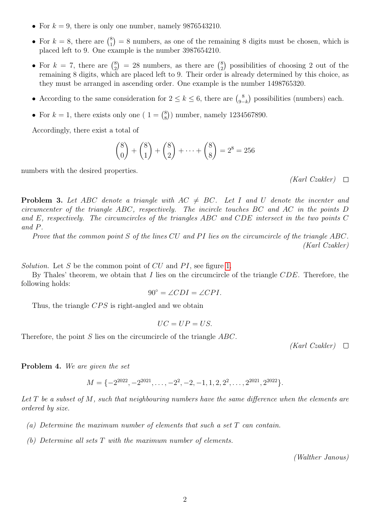- For  $k = 9$ , there is only one number, namely 9876543210.
- For  $k = 8$ , there are  $\binom{8}{1}$  $\binom{8}{1}$  = 8 numbers, as one of the remaining 8 digits must be chosen, which is placed left to 9. One example is the number 3987654210.
- For  $k = 7$ , there are  $\binom{8}{2}$  $\binom{8}{2}$  = 28 numbers, as there are  $\binom{8}{2}$  $_{2}^{8}$ ) possibilities of choosing 2 out of the remaining 8 digits, which are placed left to 9. Their order is already determined by this choice, as they must be arranged in ascending order. One example is the number 1498765320.
- According to the same consideration for  $2 \leq k \leq 6$ , there are  $\binom{8}{3}$  $\binom{8}{9-k}$  possibilities (numbers) each.
- For  $k = 1$ , there exists only one (  $1 = \binom{8}{8}$ 8 ) number, namely 1234567890.

Accordingly, there exist a total of

$$
\binom{8}{0} + \binom{8}{1} + \binom{8}{2} + \dots + \binom{8}{8} = 2^8 = 256
$$

numbers with the desired properties.

 $(Karl Czakler) \quad \Box$ 

**Problem 3.** Let ABC denote a triangle with  $AC \neq BC$ . Let I and U denote the incenter and circumcenter of the triangle ABC, respectively. The incircle touches BC and AC in the points D and E, respectively. The circumcircles of the triangles ABC and CDE intersect in the two points C and P.

Prove that the common point  $S$  of the lines  $CU$  and  $PI$  lies on the circumcircle of the triangle  $ABC$ . (Karl Czakler)

Solution. Let S be the common point of  $CU$  and  $PI$ , see figure [1.](#page-2-0)

By Thales' theorem, we obtain that  $I$  lies on the circumcircle of the triangle  $CDE$ . Therefore, the following holds:

$$
90^{\circ} = \angle CDI = \angle CPL.
$$

Thus, the triangle  $CPS$  is right-angled and we obtain

$$
UC=UP=US.
$$

Therefore, the point S lies on the circumcircle of the triangle ABC.

 $(Karl Czakler) \quad \Box$ 

Problem 4. We are given the set

$$
M = \{-2^{2022}, -2^{2021}, \dots, -2^2, -2, -1, 1, 2, 2^2, \dots, 2^{2021}, 2^{2022}\}.
$$

Let  $T$  be a subset of  $M$ , such that neighbouring numbers have the same difference when the elements are ordered by size.

- (a) Determine the maximum number of elements that such a set T can contain.
- (b) Determine all sets T with the maximum number of elements.

(Walther Janous)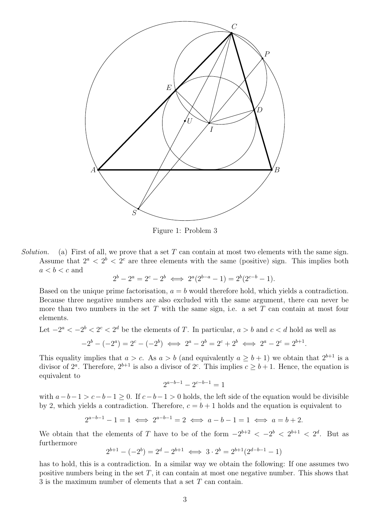<span id="page-2-0"></span>

Figure 1: Problem 3

Solution. (a) First of all, we prove that a set T can contain at most two elements with the same sign. Assume that  $2^a < 2^b < 2^c$  are three elements with the same (positive) sign. This implies both  $a < b < c$  and

$$
2^{b} - 2^{a} = 2^{c} - 2^{b} \iff 2^{a}(2^{b-a} - 1) = 2^{b}(2^{c-b} - 1).
$$

Based on the unique prime factorisation,  $a = b$  would therefore hold, which yields a contradiction. Because three negative numbers are also excluded with the same argument, there can never be more than two numbers in the set T with the same sign, i.e. a set T can contain at most four elements.

Let  $-2^a < -2^b < 2^c < 2^d$  be the elements of T. In particular,  $a > b$  and  $c < d$  hold as well as  $-2^{b} - (-2^{a}) = 2^{c} - (-2^{b}) \iff 2^{a} - 2^{b} = 2^{c} + 2^{b} \iff 2^{a} - 2^{c} = 2^{b+1}.$ 

This equality implies that  $a > c$ . As  $a > b$  (and equivalently  $a \geq b + 1$ ) we obtain that  $2^{b+1}$  is a divisor of  $2^a$ . Therefore,  $2^{b+1}$  is also a divisor of  $2^c$ . This implies  $c \geq b+1$ . Hence, the equation is equivalent to

$$
2^{a-b-1} - 2^{c-b-1} = 1
$$

with  $a-b-1 > c-b-1 \ge 0$ . If  $c-b-1 > 0$  holds, the left side of the equation would be divisible by 2, which yields a contradiction. Therefore,  $c = b + 1$  holds and the equation is equivalent to

$$
2^{a-b-1} - 1 = 1 \iff 2^{a-b-1} = 2 \iff a-b-1 = 1 \iff a = b+2.
$$

We obtain that the elements of T have to be of the form  $-2^{b+2} < -2^b < 2^{b+1} < 2^d$ . But as furthermore

$$
2^{b+1} - (-2^b) = 2^d - 2^{b+1} \iff 3 \cdot 2^b = 2^{b+1}(2^{d-b-1} - 1)
$$

has to hold, this is a contradiction. In a similar way we obtain the following: If one assumes two positive numbers being in the set  $T$ , it can contain at most one negative number. This shows that 3 is the maximum number of elements that a set T can contain.